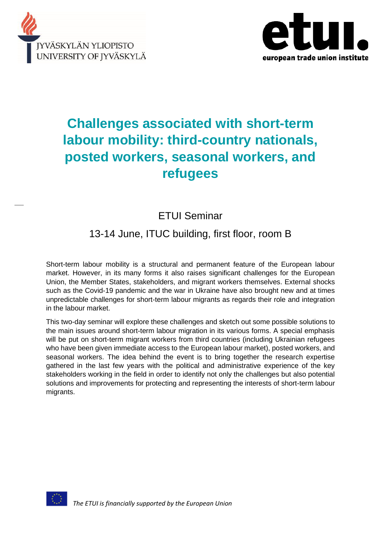



# **Challenges associated with short-term labour mobility: third-country nationals, posted workers, seasonal workers, and refugees**

# ETUI Seminar

## 13-14 June, ITUC building, first floor, room B

Short-term labour mobility is a structural and permanent feature of the European labour market. However, in its many forms it also raises significant challenges for the European Union, the Member States, stakeholders, and migrant workers themselves. External shocks such as the Covid-19 pandemic and the war in Ukraine have also brought new and at times unpredictable challenges for short-term labour migrants as regards their role and integration in the labour market.

This two-day seminar will explore these challenges and sketch out some possible solutions to the main issues around short-term labour migration in its various forms. A special emphasis will be put on short-term migrant workers from third countries (including Ukrainian refugees who have been given immediate access to the European labour market), posted workers, and seasonal workers. The idea behind the event is to bring together the research expertise gathered in the last few years with the political and administrative experience of the key stakeholders working in the field in order to identify not only the challenges but also potential solutions and improvements for protecting and representing the interests of short-term labour migrants.

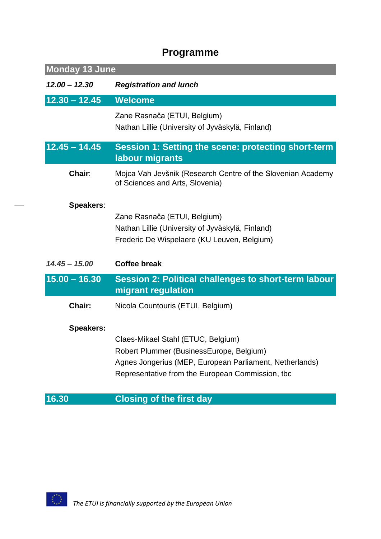# **Programme**

| <b>Monday 13 June</b> |                                                                                                                                                                                               |  |
|-----------------------|-----------------------------------------------------------------------------------------------------------------------------------------------------------------------------------------------|--|
| $12.00 - 12.30$       | <b>Registration and lunch</b>                                                                                                                                                                 |  |
| $12.30 - 12.45$       | <b>Welcome</b>                                                                                                                                                                                |  |
|                       | Zane Rasnača (ETUI, Belgium)<br>Nathan Lillie (University of Jyväskylä, Finland)                                                                                                              |  |
| $12.45 - 14.45$       | <b>Session 1: Setting the scene: protecting short-term</b><br>labour migrants                                                                                                                 |  |
| Chair:                | Mojca Vah Jevšnik (Research Centre of the Slovenian Academy<br>of Sciences and Arts, Slovenia)                                                                                                |  |
| <b>Speakers:</b>      | Zane Rasnača (ETUI, Belgium)<br>Nathan Lillie (University of Jyväskylä, Finland)<br>Frederic De Wispelaere (KU Leuven, Belgium)                                                               |  |
| $14.45 - 15.00$       | <b>Coffee break</b>                                                                                                                                                                           |  |
| $15.00 - 16.30$       | Session 2: Political challenges to short-term labour<br>migrant regulation                                                                                                                    |  |
| Chair:                | Nicola Countouris (ETUI, Belgium)                                                                                                                                                             |  |
| <b>Speakers:</b>      | Claes-Mikael Stahl (ETUC, Belgium)<br>Robert Plummer (BusinessEurope, Belgium)<br>Agnes Jongerius (MEP, European Parliament, Netherlands)<br>Representative from the European Commission, tbc |  |
| 16.30                 | <b>Closing of the first day</b>                                                                                                                                                               |  |

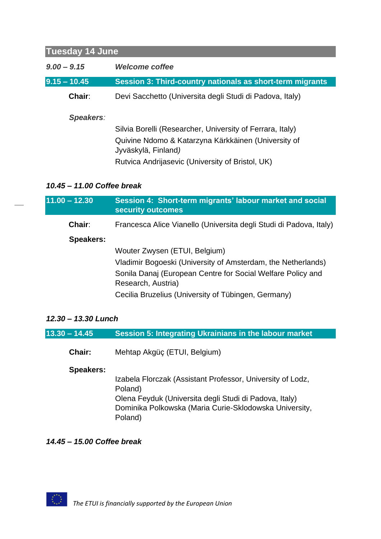| <b>Tuesday 14 June</b> |                                                                                                                                                                                             |  |
|------------------------|---------------------------------------------------------------------------------------------------------------------------------------------------------------------------------------------|--|
| $9.00 - 9.15$          | <i>Welcome coffee</i>                                                                                                                                                                       |  |
| $9.15 - 10.45$         | <b>Session 3: Third-country nationals as short-term migrants</b>                                                                                                                            |  |
| Chair:                 | Devi Sacchetto (Universita degli Studi di Padova, Italy)                                                                                                                                    |  |
| Speakers:              | Silvia Borelli (Researcher, University of Ferrara, Italy)<br>Quivine Ndomo & Katarzyna Kärkkäinen (University of<br>Jyväskylä, Finland)<br>Rutvica Andrijasevic (University of Bristol, UK) |  |

### *10.45 – 11.00 Coffee break*

| $11.00 - 12.30$  | Session 4: Short-term migrants' labour market and social<br>security outcomes     |
|------------------|-----------------------------------------------------------------------------------|
| Chair:           | Francesca Alice Vianello (Universita degli Studi di Padova, Italy)                |
| <b>Speakers:</b> |                                                                                   |
|                  | Wouter Zwysen (ETUI, Belgium)                                                     |
|                  | Vladimir Bogoeski (University of Amsterdam, the Netherlands)                      |
|                  | Sonila Danaj (European Centre for Social Welfare Policy and<br>Research, Austria) |
|                  | Cecilia Bruzelius (University of Tübingen, Germany)                               |

### *12.30 – 13.30 Lunch*

| $13.30 - 14.45$ | Session 5: Integrating Ukrainians in the labour market |
|-----------------|--------------------------------------------------------|
|                 |                                                        |

**Chair:** Mehtap Akgüç (ETUI, Belgium)

### **Speakers:**

Izabela Florczak (Assistant Professor, University of Lodz, Poland) Olena Feyduk (Universita degli Studi di Padova, Italy) Dominika Polkowska (Maria Curie-Sklodowska University, Poland)

### *14.45 – 15.00 Coffee break*